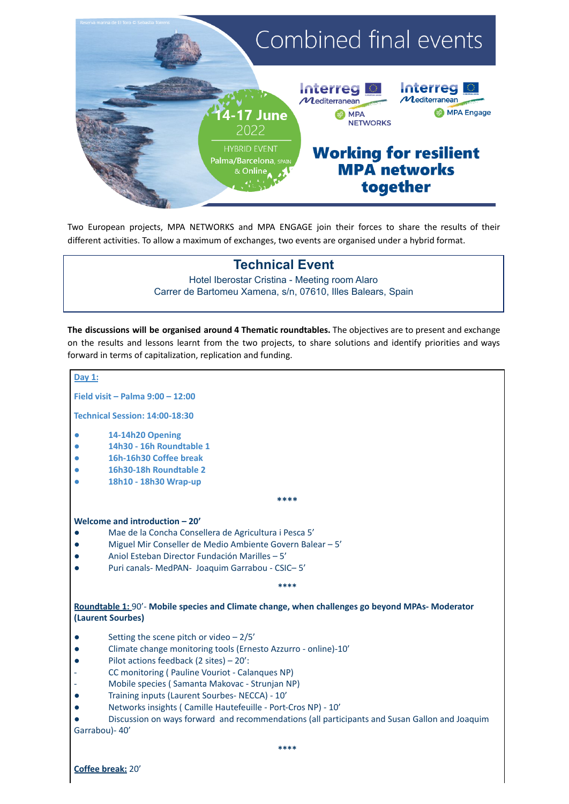

Two European projects, MPA NETWORKS and MPA ENGAGE join their forces to share the results of their different activities. To allow a maximum of exchanges, two events are organised under a hybrid format.

## **Technical Event**

### Hotel Iberostar Cristina - Meeting room Alaro Carrer de Bartomeu Xamena, s/n, 07610, Illes Balears, Spain

**The discussions will be organised around 4 Thematic roundtables.** The objectives are to present and exchange on the results and lessons learnt from the two projects, to share solutions and identify priorities and ways forward in terms of capitalization, replication and funding.

# **Day 1: Field visit – Palma 9:00 – 12:00 Technical Session: 14:00-18:30 ● 14-14h20 Opening ● 14h30 - 16h Roundtable 1 ● 16h-16h30 Coffee break ● 16h30-18h Roundtable 2 ● 18h10 - 18h30 Wrap-up \*\*\*\* Welcome and introduction – 20'** Mae de la Concha Consellera de Agricultura i Pesca 5' ● Miguel Mir Conseller de Medio Ambiente Govern Balear – 5' ● Aniol Esteban Director Fundación Marilles – 5' ● Puri canals- MedPAN- Joaquim Garrabou - CSIC– 5' **\*\*\*\* Roundtable 1:** 90'- **Mobile species and Climate change, when challenges go beyond MPAs- Moderator (Laurent Sourbes)** Setting the scene pitch or video  $-2/5'$ ● Climate change monitoring tools (Ernesto Azzurro - online)-10' ● Pilot actions feedback (2 sites) – 20': CC monitoring ( Pauline Vouriot - Calanques NP) Mobile species ( Samanta Makovac - Strunjan NP) ● Training inputs (Laurent Sourbes- NECCA) - 10' ● Networks insights ( Camille Hautefeuille - Port-Cros NP) - 10' ● Discussion on ways forward and recommendations (all participants and Susan Gallon and Joaquim Garrabou)- 40' **\*\*\*\* Coffee break:** 20'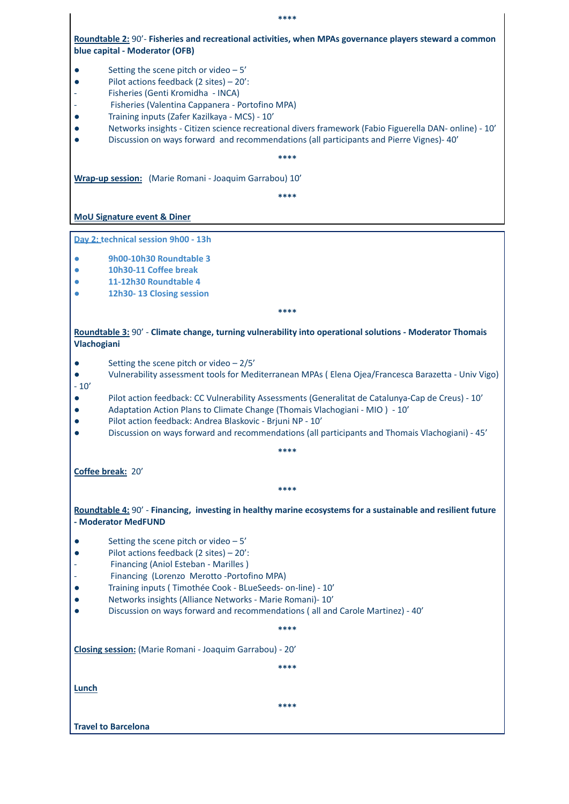**Roundtable 2:** 90'- **Fisheries and recreational activities, when MPAs governance players steward a common blue capital - Moderator (OFB)**

- Setting the scene pitch or video 5'
- Pilot actions feedback (2 sites) 20':
- Fisheries (Genti Kromidha INCA)
- Fisheries (Valentina Cappanera Portofino MPA)
- Training inputs (Zafer Kazilkaya MCS) 10'
- Networks insights Citizen science recreational divers framework (Fabio Figuerella DAN- online) 10'
- Discussion on ways forward and recommendations (all participants and Pierre Vignes)- 40'

**\*\*\*\***

**Wrap-up session:** (Marie Romani - Joaquim Garrabou) 10'

**\*\*\*\***

**MoU Signature event & Diner**

**Day 2: technical session 9h00 - 13h**

- **● 9h00-10h30 Roundtable 3**
- **● 10h30-11 Coffee break**
- **● 11-12h30 Roundtable 4**
- **● 12h30- 13 Closing session**

**\*\*\*\***

**Roundtable 3:** 90' - **Climate change, turning vulnerability into operational solutions - Moderator Thomais Vlachogiani**

- $\bullet$  Setting the scene pitch or video  $-2/5'$
- Vulnerability assessment tools for Mediterranean MPAs ( Elena Ojea/Francesca Barazetta Univ Vigo)  $-10'$
- Pilot action feedback: CC Vulnerability Assessments (Generalitat de Catalunya-Cap de Creus) 10'
- Adaptation Action Plans to Climate Change (Thomais Vlachogiani MIO ) 10'
- Pilot action feedback: Andrea Blaskovic Brjuni NP 10'
- Discussion on ways forward and recommendations (all participants and Thomais Vlachogiani) 45'

**\*\*\*\***

**Coffee break:** 20'

**Roundtable 4:** 90' - **Financing, investing in healthy marine ecosystems for a sustainable and resilient future - Moderator MedFUND**

**\*\*\*\***

- Setting the scene pitch or video  $-5'$
- Pilot actions feedback (2 sites) 20':
- Financing (Aniol Esteban Marilles)
- Financing (Lorenzo Merotto -Portofino MPA)
- Training inputs ( Timothée Cook BLueSeeds- on-line) 10'
- Networks insights (Alliance Networks Marie Romani)- 10'
- Discussion on ways forward and recommendations ( all and Carole Martinez) 40'

**\*\*\*\***

**Closing session:** (Marie Romani - Joaquim Garrabou) - 20'

**\*\*\*\***

**Lunch**

**\*\*\*\***

**Travel to Barcelona**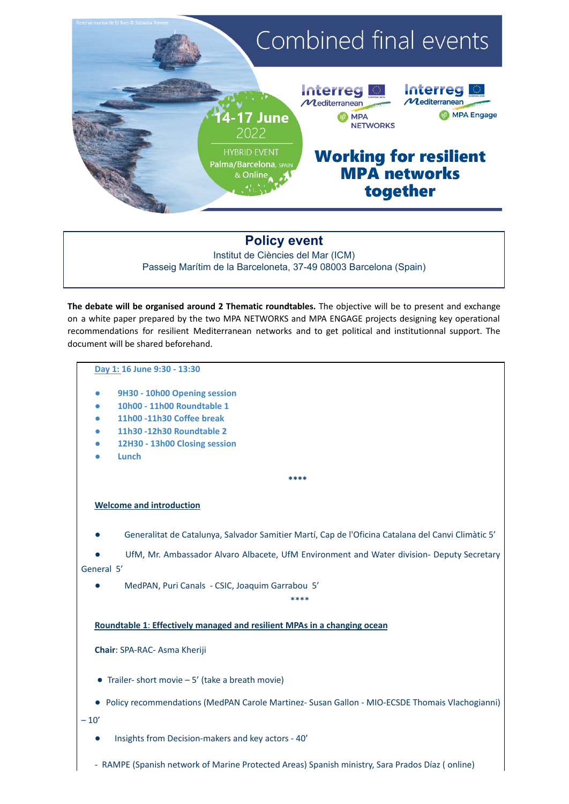

## **Policy event**

Institut de Ciències del Mar (ICM) Passeig Marítim de la Barceloneta, 37-49 08003 Barcelona (Spain)

**The debate will be organised around 2 Thematic roundtables.** The objective will be to present and exchange on a white paper prepared by the two MPA NETWORKS and MPA ENGAGE projects designing key operational recommendations for resilient Mediterranean networks and to get political and institutionnal support. The document will be shared beforehand.

#### **Day 1: 16 June 9:30 - 13:30**

- **9H30 - 10h00 Opening session**
- **10h00 - 11h00 Roundtable 1**
- **11h00 -11h30 Coffee break**
- **11h30 -12h30 Roundtable 2**
- **12H30 - 13h00 Closing session**
- **Lunch**

#### **Welcome and introduction**

● Generalitat de Catalunya, Salvador Samitier Martí, Cap de l'Oficina Catalana del Canvi Climàtic 5'

**\*\*\*\***

UfM, Mr. Ambassador Alvaro Albacete, UfM Environment and Water division- Deputy Secretary General 5'

\*\*\*\*

● MedPAN, Puri Canals - CSIC, Joaquim Garrabou 5'

### **Roundtable 1**: **Effectively managed and resilient MPAs in a changing ocean**

#### **Chair**: SPA-RAC- Asma Kheriji

- Trailer-short movie  $-5'$  (take a breath movie)
- Policy recommendations (MedPAN Carole Martinez- Susan Gallon MIO-ECSDE Thomais Vlachogianni)

 $-10'$ 

- Insights from Decision-makers and key actors 40'
- RAMPE (Spanish network of Marine Protected Areas) Spanish ministry, Sara Prados Díaz ( online)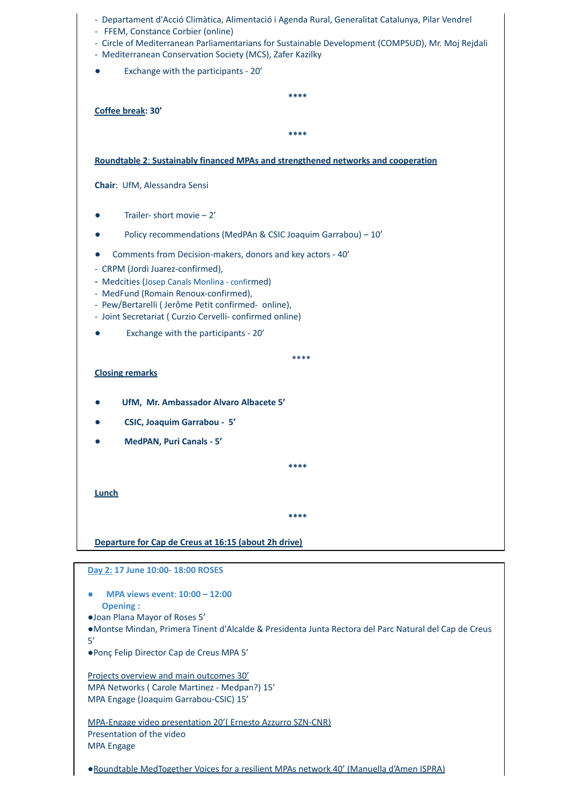| - Departament d'Acció Climàtica, Alimentació i Agenda Rural, Generalitat Catalunya, Pilar Vendrel<br>- FFEM, Constance Corbier (online)<br>- Circle of Mediterranean Parliamentarians for Sustainable Development (COMPSUD), Mr. Moj Rejdali |
|----------------------------------------------------------------------------------------------------------------------------------------------------------------------------------------------------------------------------------------------|
| - Mediterranean Conservation Society (MCS), Zafer Kazilky<br>Exchange with the participants - 20'                                                                                                                                            |
|                                                                                                                                                                                                                                              |
| ****                                                                                                                                                                                                                                         |
| Coffee break: 30'                                                                                                                                                                                                                            |
| ****                                                                                                                                                                                                                                         |
| Roundtable 2: Sustainably financed MPAs and strengthened networks and cooperation                                                                                                                                                            |
| Chair: UfM, Alessandra Sensi                                                                                                                                                                                                                 |
| Trailer-short movie $-2'$                                                                                                                                                                                                                    |
| Policy recommendations (MedPAn & CSIC Joaquim Garrabou) - 10'                                                                                                                                                                                |
| Comments from Decision-makers, donors and key actors - 40'                                                                                                                                                                                   |
| - CRPM (Jordi Juarez-confirmed),                                                                                                                                                                                                             |
| - Medcities (Josep Canals Monlina - confirmed)<br>- MedFund (Romain Renoux-confirmed),                                                                                                                                                       |
| - Pew/Bertarelli (Jerôme Petit confirmed- online),                                                                                                                                                                                           |
| - Joint Secretariat (Curzio Cervelli-confirmed online)                                                                                                                                                                                       |
| Exchange with the participants - 20'                                                                                                                                                                                                         |
| ****                                                                                                                                                                                                                                         |
| <b>Closing remarks</b>                                                                                                                                                                                                                       |
| UfM, Mr. Ambassador Alvaro Albacete 5'                                                                                                                                                                                                       |
| <b>CSIC, Joaquim Garrabou - 5'</b>                                                                                                                                                                                                           |
| <b>MedPAN, Puri Canals - 5'</b>                                                                                                                                                                                                              |
| ****                                                                                                                                                                                                                                         |
| <b>Lunch</b>                                                                                                                                                                                                                                 |
|                                                                                                                                                                                                                                              |
| ****                                                                                                                                                                                                                                         |
| Departure for Cap de Creus at 16:15 (about 2h drive)                                                                                                                                                                                         |
|                                                                                                                                                                                                                                              |
| Day 2: 17 June 10:00- 18:00 ROSES                                                                                                                                                                                                            |
| MPA views event: 10:00 - 12:00                                                                                                                                                                                                               |
| <b>Opening:</b><br>·Joan Plana Mayor of Roses 5'                                                                                                                                                                                             |
| • Montse Mindan, Primera Tinent d'Alcalde & Presidenta Junta Rectora del Parc Natural del Cap de Creus                                                                                                                                       |
| 5'<br>·Ponç Felip Director Cap de Creus MPA 5'                                                                                                                                                                                               |
| Projects overview and main outcomes 30'<br>MPA Networks (Carole Martinez - Medpan?) 15'<br>MPA Engage (Joaquim Garrabou-CSIC) 15'                                                                                                            |
| MPA-Engage video presentation 20' (Ernesto Azzurro SZN-CNR)<br>Presentation of the video<br><b>MPA Engage</b>                                                                                                                                |
| • Roundtable MedTogether Voices for a resilient MPAs network 40' (Manuella d'Amen ISPRA)                                                                                                                                                     |